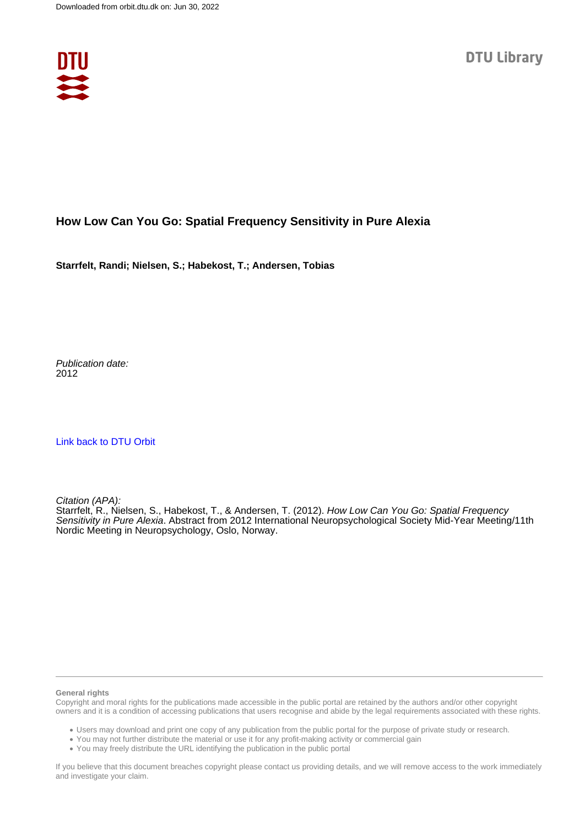

## **How Low Can You Go: Spatial Frequency Sensitivity in Pure Alexia**

**Starrfelt, Randi; Nielsen, S.; Habekost, T.; Andersen, Tobias**

Publication date: 2012

[Link back to DTU Orbit](https://orbit.dtu.dk/en/publications/9f69efa7-7b44-42c3-84a3-0e05a0cf73e3)

Citation (APA):

Starrfelt, R., Nielsen, S., Habekost, T., & Andersen, T. (2012). How Low Can You Go: Spatial Frequency Sensitivity in Pure Alexia. Abstract from 2012 International Neuropsychological Society Mid-Year Meeting/11th Nordic Meeting in Neuropsychology, Oslo, Norway.

## **General rights**

Copyright and moral rights for the publications made accessible in the public portal are retained by the authors and/or other copyright owners and it is a condition of accessing publications that users recognise and abide by the legal requirements associated with these rights.

Users may download and print one copy of any publication from the public portal for the purpose of private study or research.

- You may not further distribute the material or use it for any profit-making activity or commercial gain
- You may freely distribute the URL identifying the publication in the public portal

If you believe that this document breaches copyright please contact us providing details, and we will remove access to the work immediately and investigate your claim.